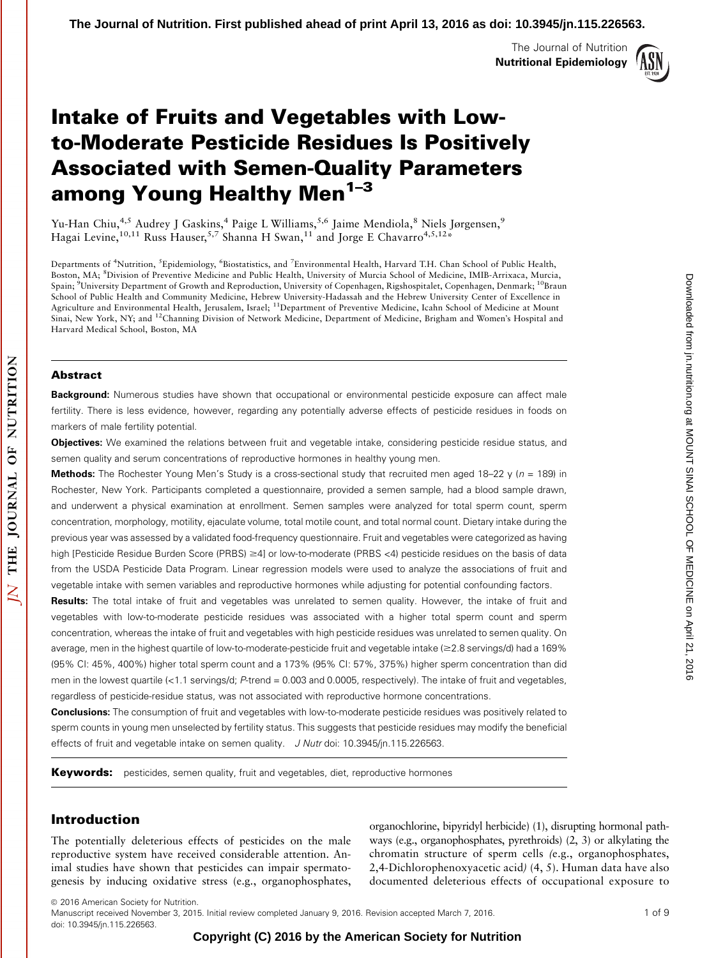The Journal of Nutrition Nutritional Epidemiology



# Intake of Fruits and Vegetables with Lowto-Moderate Pesticide Residues Is Positively Associated with Semen-Quality Parameters among Young Healthy Men<sup>1-3</sup>

Yu-Han Chiu,<sup>4,5</sup> Audrey J Gaskins,<sup>4</sup> Paige L Williams,<sup>5,6</sup> Jaime Mendiola,<sup>8</sup> Niels Jørgensen,<sup>9</sup> Hagai Levine,  $^{10,11}$  Russ Hauser,  $^{5,7}$  Shanna H Swan,  $^{11}$  and Jorge E Chavarro $^{4,5,12}$ \*

Departments of <sup>4</sup>Nutrition, <sup>5</sup>Epidemiology, <sup>6</sup>Biostatistics, and <sup>7</sup>Environmental Health, Harvard T.H. Chan School of Public Health, Boston, MA; <sup>8</sup>Division of Preventive Medicine and Public Health, University of Murcia School of Medicine, IMIB-Arrixaca, Murcia, Spain; <sup>9</sup>University Department of Growth and Reproduction, University of Copenhagen, Rigshospitalet, Copenhagen, Denmark; <sup>10</sup>Braun School of Public Health and Community Medicine, Hebrew University-Hadassah and the Hebrew University Center of Excellence in Agriculture and Environmental Health, Jerusalem, Israel; 11Department of Preventive Medicine, Icahn School of Medicine at Mount Sinai, New York, NY; and <sup>12</sup>Channing Division of Network Medicine, Department of Medicine, Brigham and Women's Hospital and Harvard Medical School, Boston, MA

#### Abstract

**Background:** Numerous studies have shown that occupational or environmental pesticide exposure can affect male fertility. There is less evidence, however, regarding any potentially adverse effects of pesticide residues in foods on markers of male fertility potential.

**Objectives:** We examined the relations between fruit and vegetable intake, considering pesticide residue status, and semen quality and serum concentrations of reproductive hormones in healthy young men.

**Methods:** The Rochester Young Men's Study is a cross-sectional study that recruited men aged 18–22 y ( $n = 189$ ) in Rochester, New York. Participants completed a questionnaire, provided a semen sample, had a blood sample drawn, and underwent a physical examination at enrollment. Semen samples were analyzed for total sperm count, sperm concentration, morphology, motility, ejaculate volume, total motile count, and total normal count. Dietary intake during the previous year was assessed by a validated food-frequency questionnaire. Fruit and vegetables were categorized as having high [Pesticide Residue Burden Score (PRBS)  $\geq$ 4] or low-to-moderate (PRBS <4) pesticide residues on the basis of data from the USDA Pesticide Data Program. Linear regression models were used to analyze the associations of fruit and vegetable intake with semen variables and reproductive hormones while adjusting for potential confounding factors.

Results: The total intake of fruit and vegetables was unrelated to semen quality. However, the intake of fruit and vegetables with low-to-moderate pesticide residues was associated with a higher total sperm count and sperm concentration, whereas the intake of fruit and vegetables with high pesticide residues was unrelated to semen quality. On average, men in the highest quartile of low-to-moderate-pesticide fruit and vegetable intake ( $\geq$ 2.8 servings/d) had a 169% (95% CI: 45%, 400%) higher total sperm count and a 173% (95% CI: 57%, 375%) higher sperm concentration than did men in the lowest quartile (<1.1 servings/d; P-trend = 0.003 and 0.0005, respectively). The intake of fruit and vegetables, regardless of pesticide-residue status, was not associated with reproductive hormone concentrations.

**Conclusions:** The consumption of fruit and vegetables with low-to-moderate pesticide residues was positively related to sperm counts in young men unselected by fertility status. This suggests that pesticide residues may modify the beneficial effects of fruit and vegetable intake on semen quality. J Nutr doi: 10.3945/jn.115.226563.

**Keywords:** pesticides, semen quality, fruit and vegetables, diet, reproductive hormones

## Introduction

The potentially deleterious effects of pesticides on the male reproductive system have received considerable attention. Animal studies have shown that pesticides can impair spermatogenesis by inducing oxidative stress (e.g., organophosphates, organochlorine, bipyridyl herbicide) (1), disrupting hormonal pathways (e.g., organophosphates, pyrethroids) (2, 3) or alkylating the chromatin structure of sperm cells (e.g., organophosphates, 2,4-Dichlorophenoxyacetic acid) (4, 5). Human data have also documented deleterious effects of occupational exposure to

**Copyright (C) 2016 by the American Society for Nutrition** 

 $©$  2016 American Society for Nutrition. Manuscript received November 3, 2015. Initial review completed January 9, 2016. Revision accepted March 7, 2016. 1 of 9 doi: 10.3945/jn.115.226563.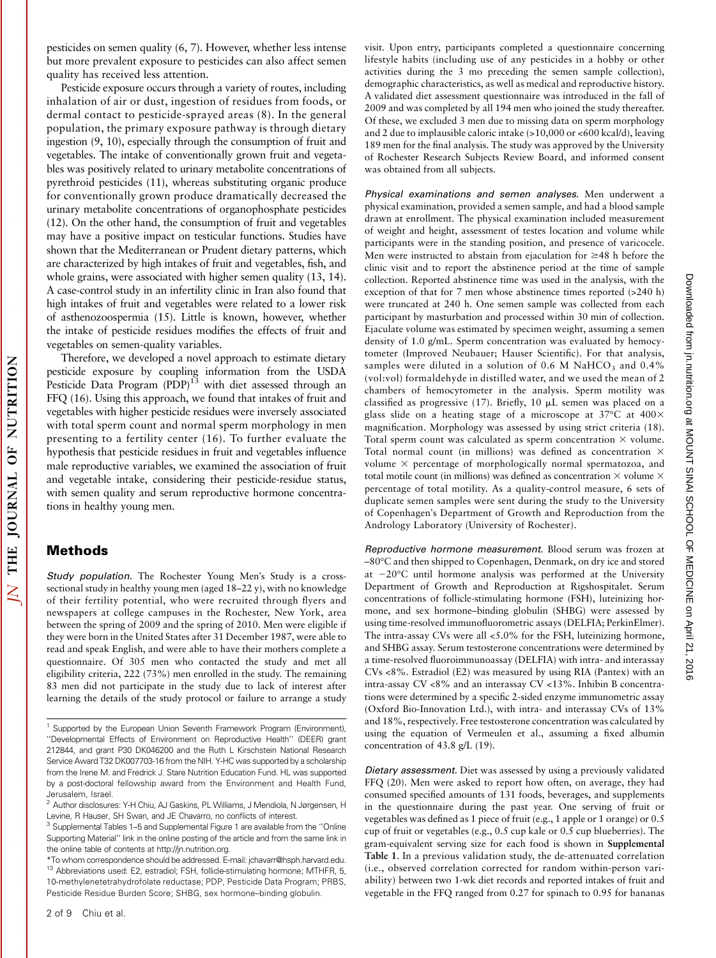pesticides on semen quality (6, 7). However, whether less intense but more prevalent exposure to pesticides can also affect semen quality has received less attention.

Pesticide exposure occurs through a variety of routes, including inhalation of air or dust, ingestion of residues from foods, or dermal contact to pesticide-sprayed areas (8). In the general population, the primary exposure pathway is through dietary ingestion (9, 10), especially through the consumption of fruit and vegetables. The intake of conventionally grown fruit and vegetables was positively related to urinary metabolite concentrations of pyrethroid pesticides (11), whereas substituting organic produce for conventionally grown produce dramatically decreased the urinary metabolite concentrations of organophosphate pesticides (12). On the other hand, the consumption of fruit and vegetables may have a positive impact on testicular functions. Studies have shown that the Mediterranean or Prudent dietary patterns, which are characterized by high intakes of fruit and vegetables, fish, and whole grains, were associated with higher semen quality (13, 14). A case-control study in an infertility clinic in Iran also found that high intakes of fruit and vegetables were related to a lower risk of asthenozoospermia (15). Little is known, however, whether the intake of pesticide residues modifies the effects of fruit and vegetables on semen-quality variables.

Therefore, we developed a novel approach to estimate dietary pesticide exposure by coupling information from the USDA Pesticide Data Program  $(PDP)^{13}$  with diet assessed through an FFQ (16). Using this approach, we found that intakes of fruit and vegetables with higher pesticide residues were inversely associated with total sperm count and normal sperm morphology in men presenting to a fertility center (16). To further evaluate the hypothesis that pesticide residues in fruit and vegetables influence male reproductive variables, we examined the association of fruit and vegetable intake, considering their pesticide-residue status, with semen quality and serum reproductive hormone concentrations in healthy young men.

## Methods

OF NUTRITION

**JOURNAL** 

THE

 $\overline{\Delta}$ 

Study population. The Rochester Young Men's Study is a crosssectional study in healthy young men (aged 18–22 y), with no knowledge of their fertility potential, who were recruited through flyers and newspapers at college campuses in the Rochester, New York, area between the spring of 2009 and the spring of 2010. Men were eligible if they were born in the United States after 31 December 1987, were able to read and speak English, and were able to have their mothers complete a questionnaire. Of 305 men who contacted the study and met all eligibility criteria, 222 (73%) men enrolled in the study. The remaining 83 men did not participate in the study due to lack of interest after learning the details of the study protocol or failure to arrange a study

visit. Upon entry, participants completed a questionnaire concerning lifestyle habits (including use of any pesticides in a hobby or other activities during the 3 mo preceding the semen sample collection), demographic characteristics, as well as medical and reproductive history. A validated diet assessment questionnaire was introduced in the fall of 2009 and was completed by all 194 men who joined the study thereafter. Of these, we excluded 3 men due to missing data on sperm morphology and 2 due to implausible caloric intake (>10,000 or <600 kcal/d), leaving 189 men for the final analysis. The study was approved by the University of Rochester Research Subjects Review Board, and informed consent was obtained from all subjects.

Physical examinations and semen analyses. Men underwent a physical examination, provided a semen sample, and had a blood sample drawn at enrollment. The physical examination included measurement of weight and height, assessment of testes location and volume while participants were in the standing position, and presence of varicocele. Men were instructed to abstain from ejaculation for  $\geq$ 48 h before the clinic visit and to report the abstinence period at the time of sample collection. Reported abstinence time was used in the analysis, with the exception of that for 7 men whose abstinence times reported (>240 h) were truncated at 240 h. One semen sample was collected from each participant by masturbation and processed within 30 min of collection. Ejaculate volume was estimated by specimen weight, assuming a semen density of 1.0 g/mL. Sperm concentration was evaluated by hemocytometer (Improved Neubauer; Hauser Scientific). For that analysis, samples were diluted in a solution of  $0.6$  M NaHCO<sub>3</sub> and  $0.4\%$ (vol:vol) formaldehyde in distilled water, and we used the mean of 2 chambers of hemocytometer in the analysis. Sperm motility was classified as progressive (17). Briefly, 10  $\mu$ L semen was placed on a glass slide on a heating stage of a microscope at  $37^{\circ}$ C at  $400\times$ magnification. Morphology was assessed by using strict criteria (18). Total sperm count was calculated as sperm concentration  $\times$  volume. Total normal count (in millions) was defined as concentration  $\times$ volume  $\times$  percentage of morphologically normal spermatozoa, and total motile count (in millions) was defined as concentration  $\times$  volume  $\times$ percentage of total motility. As a quality-control measure, 6 sets of duplicate semen samples were sent during the study to the University of Copenhagen's Department of Growth and Reproduction from the Andrology Laboratory (University of Rochester).

Reproductive hormone measurement. Blood serum was frozen at –80C and then shipped to Copenhagen, Denmark, on dry ice and stored at  $-20^{\circ}$ C until hormone analysis was performed at the University Department of Growth and Reproduction at Rigshospitalet. Serum concentrations of follicle-stimulating hormone (FSH), luteinizing hormone, and sex hormone–binding globulin (SHBG) were assessed by using time-resolved immunofluorometric assays (DELFIA; PerkinElmer). The intra-assay CVs were all <5.0% for the FSH, luteinizing hormone, and SHBG assay. Serum testosterone concentrations were determined by a time-resolved fluoroimmunoassay (DELFIA) with intra- and interassay CVs <8%. Estradiol (E2) was measured by using RIA (Pantex) with an intra-assay CV <8% and an interassay CV <13%. Inhibin B concentrations were determined by a specific 2-sided enzyme immunometric assay (Oxford Bio-Innovation Ltd.), with intra- and interassay CVs of 13% and 18%, respectively. Free testosterone concentration was calculated by using the equation of Vermeulen et al., assuming a fixed albumin concentration of 43.8 g/L (19).

Dietary assessment. Diet was assessed by using a previously validated FFQ (20). Men were asked to report how often, on average, they had consumed specified amounts of 131 foods, beverages, and supplements in the questionnaire during the past year. One serving of fruit or vegetables was defined as 1 piece of fruit (e.g., 1 apple or 1 orange) or 0.5 cup of fruit or vegetables (e.g., 0.5 cup kale or 0.5 cup blueberries). The gram-equivalent serving size for each food is shown in Supplemental Table 1. In a previous validation study, the de-attenuated correlation (i.e., observed correlation corrected for random within-person variability) between two 1-wk diet records and reported intakes of fruit and vegetable in the FFQ ranged from 0.27 for spinach to 0.95 for bananas

<sup>&</sup>lt;sup>1</sup> Supported by the European Union Seventh Framework Program (Environment), ''Developmental Effects of Environment on Reproductive Health'' (DEER) grant 212844, and grant P30 DK046200 and the Ruth L Kirschstein National Research Service Award T32 DK007703-16 from the NIH. Y-HC was supported by a scholarship from the Irene M. and Fredrick J. Stare Nutrition Education Fund. HL was supported by a post-doctoral fellowship award from the Environment and Health Fund, Jerusalem, Israel.

<sup>&</sup>lt;sup>2</sup> Author disclosures: Y-H Chiu, AJ Gaskins, PL Williams, J Mendiola, N Jørgensen, H Levine, R Hauser, SH Swan, and JE Chavarro, no conflicts of interest.

<sup>&</sup>lt;sup>3</sup> Supplemental Tables 1–5 and Supplemental Figure 1 are available from the "Online Supporting Material'' link in the online posting of the article and from the same link in the online table of contents at http://jn.nutrition.org.

<sup>\*</sup>To whom correspondence should be addressed. E-mail: jchavarr@hsph.harvard.edu. <sup>13</sup> Abbreviations used: E2, estradiol; FSH, follicle-stimulating hormone; MTHFR, 5, 10-methylenetetrahydrofolate reductase; PDP, Pesticide Data Program; PRBS, Pesticide Residue Burden Score; SHBG, sex hormone–binding globulin.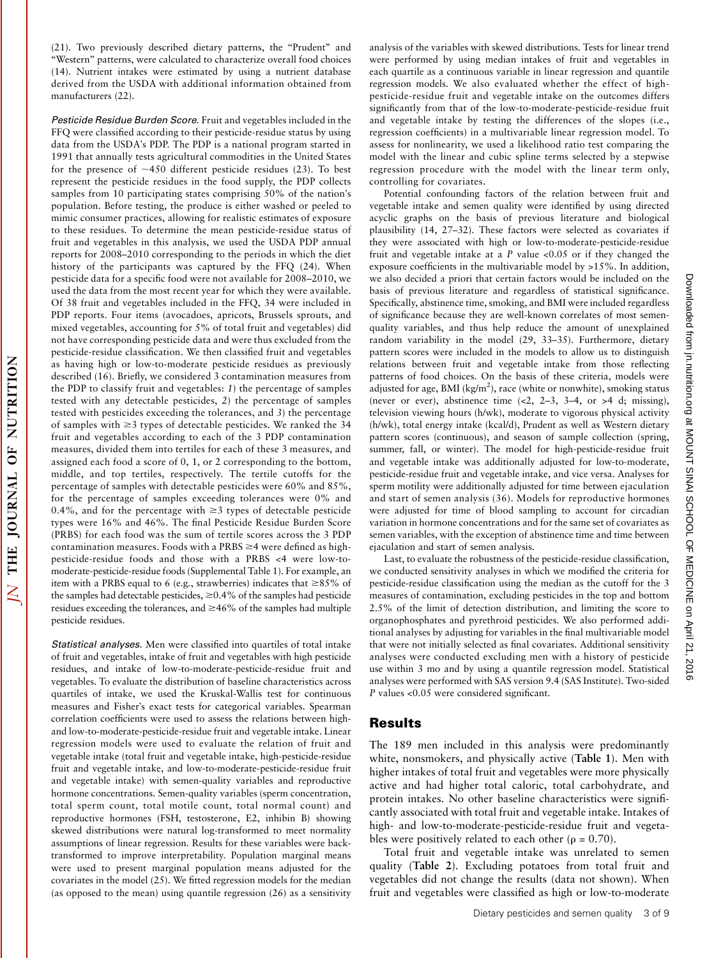(21). Two previously described dietary patterns, the ''Prudent'' and ''Western'' patterns, were calculated to characterize overall food choices (14). Nutrient intakes were estimated by using a nutrient database derived from the USDA with additional information obtained from manufacturers (22).

Pesticide Residue Burden Score. Fruit and vegetables included in the FFQ were classified according to their pesticide-residue status by using data from the USDA's PDP. The PDP is a national program started in 1991 that annually tests agricultural commodities in the United States for the presence of  $\sim$ 450 different pesticide residues (23). To best represent the pesticide residues in the food supply, the PDP collects samples from 10 participating states comprising 50% of the nation's population. Before testing, the produce is either washed or peeled to mimic consumer practices, allowing for realistic estimates of exposure to these residues. To determine the mean pesticide-residue status of fruit and vegetables in this analysis, we used the USDA PDP annual reports for 2008–2010 corresponding to the periods in which the diet history of the participants was captured by the FFQ (24). When pesticide data for a specific food were not available for 2008–2010, we used the data from the most recent year for which they were available. Of 38 fruit and vegetables included in the FFQ, 34 were included in PDP reports. Four items (avocadoes, apricots, Brussels sprouts, and mixed vegetables, accounting for 5% of total fruit and vegetables) did not have corresponding pesticide data and were thus excluded from the pesticide-residue classification. We then classified fruit and vegetables as having high or low-to-moderate pesticide residues as previously described (16). Briefly, we considered 3 contamination measures from the PDP to classify fruit and vegetables: 1) the percentage of samples tested with any detectable pesticides, 2) the percentage of samples tested with pesticides exceeding the tolerances, and 3) the percentage of samples with  $\geq$ 3 types of detectable pesticides. We ranked the 34 fruit and vegetables according to each of the 3 PDP contamination measures, divided them into tertiles for each of these 3 measures, and assigned each food a score of 0, 1, or 2 corresponding to the bottom, middle, and top tertiles, respectively. The tertile cutoffs for the percentage of samples with detectable pesticides were 60% and 85%, for the percentage of samples exceeding tolerances were 0% and 0.4%, and for the percentage with  $\geq$ 3 types of detectable pesticide types were 16% and 46%. The final Pesticide Residue Burden Score (PRBS) for each food was the sum of tertile scores across the 3 PDP contamination measures. Foods with a PRBS  $\geq$ 4 were defined as highpesticide-residue foods and those with a PRBS <4 were low-tomoderate-pesticide-residue foods (Supplemental Table 1). For example, an item with a PRBS equal to 6 (e.g., strawberries) indicates that  $\geq$ 85% of the samples had detectable pesticides,  $\geq 0.4\%$  of the samples had pesticide residues exceeding the tolerances, and  $\geq$ 46% of the samples had multiple pesticide residues.

NUTRITION

5O

JOURNAL

THE

 $\overline{\Delta}$ 

Statistical analyses. Men were classified into quartiles of total intake of fruit and vegetables, intake of fruit and vegetables with high pesticide residues, and intake of low-to-moderate-pesticide-residue fruit and vegetables. To evaluate the distribution of baseline characteristics across quartiles of intake, we used the Kruskal-Wallis test for continuous measures and Fisher's exact tests for categorical variables. Spearman correlation coefficients were used to assess the relations between highand low-to-moderate-pesticide-residue fruit and vegetable intake. Linear regression models were used to evaluate the relation of fruit and vegetable intake (total fruit and vegetable intake, high-pesticide-residue fruit and vegetable intake, and low-to-moderate-pesticide-residue fruit and vegetable intake) with semen-quality variables and reproductive hormone concentrations. Semen-quality variables (sperm concentration, total sperm count, total motile count, total normal count) and reproductive hormones (FSH, testosterone, E2, inhibin B) showing skewed distributions were natural log-transformed to meet normality assumptions of linear regression. Results for these variables were backtransformed to improve interpretability. Population marginal means were used to present marginal population means adjusted for the covariates in the model (25). We fitted regression models for the median (as opposed to the mean) using quantile regression (26) as a sensitivity analysis of the variables with skewed distributions. Tests for linear trend were performed by using median intakes of fruit and vegetables in each quartile as a continuous variable in linear regression and quantile regression models. We also evaluated whether the effect of highpesticide-residue fruit and vegetable intake on the outcomes differs significantly from that of the low-to-moderate-pesticide-residue fruit and vegetable intake by testing the differences of the slopes (i.e., regression coefficients) in a multivariable linear regression model. To assess for nonlinearity, we used a likelihood ratio test comparing the model with the linear and cubic spline terms selected by a stepwise regression procedure with the model with the linear term only, controlling for covariates.

Potential confounding factors of the relation between fruit and vegetable intake and semen quality were identified by using directed acyclic graphs on the basis of previous literature and biological plausibility (14, 27–32). These factors were selected as covariates if they were associated with high or low-to-moderate-pesticide-residue fruit and vegetable intake at a  $P$  value <0.05 or if they changed the exposure coefficients in the multivariable model by >15%. In addition, we also decided a priori that certain factors would be included on the basis of previous literature and regardless of statistical significance. Specifically, abstinence time, smoking, and BMI were included regardless of significance because they are well-known correlates of most semenquality variables, and thus help reduce the amount of unexplained random variability in the model (29, 33–35). Furthermore, dietary pattern scores were included in the models to allow us to distinguish relations between fruit and vegetable intake from those reflecting patterns of food choices. On the basis of these criteria, models were adjusted for age, BMI (kg/m<sup>2</sup>), race (white or nonwhite), smoking status (never or ever), abstinence time  $\langle 2, 2-3, 3-4, 0r > 4 \rangle$  d; missing), television viewing hours (h/wk), moderate to vigorous physical activity (h/wk), total energy intake (kcal/d), Prudent as well as Western dietary pattern scores (continuous), and season of sample collection (spring, summer, fall, or winter). The model for high-pesticide-residue fruit and vegetable intake was additionally adjusted for low-to-moderate, pesticide-residue fruit and vegetable intake, and vice versa. Analyses for sperm motility were additionally adjusted for time between ejaculation and start of semen analysis (36). Models for reproductive hormones were adjusted for time of blood sampling to account for circadian variation in hormone concentrations and for the same set of covariates as semen variables, with the exception of abstinence time and time between ejaculation and start of semen analysis.

Last, to evaluate the robustness of the pesticide-residue classification, we conducted sensitivity analyses in which we modified the criteria for pesticide-residue classification using the median as the cutoff for the 3 measures of contamination, excluding pesticides in the top and bottom 2.5% of the limit of detection distribution, and limiting the score to organophosphates and pyrethroid pesticides. We also performed additional analyses by adjusting for variables in the final multivariable model that were not initially selected as final covariates. Additional sensitivity analyses were conducted excluding men with a history of pesticide use within 3 mo and by using a quantile regression model. Statistical analyses were performed with SAS version 9.4 (SAS Institute). Two-sided P values <0.05 were considered significant.

## Results

The 189 men included in this analysis were predominantly white, nonsmokers, and physically active (Table 1). Men with higher intakes of total fruit and vegetables were more physically active and had higher total caloric, total carbohydrate, and protein intakes. No other baseline characteristics were significantly associated with total fruit and vegetable intake. Intakes of high- and low-to-moderate-pesticide-residue fruit and vegetables were positively related to each other ( $\rho = 0.70$ ).

Total fruit and vegetable intake was unrelated to semen quality (Table 2). Excluding potatoes from total fruit and vegetables did not change the results (data not shown). When fruit and vegetables were classified as high or low-to-moderate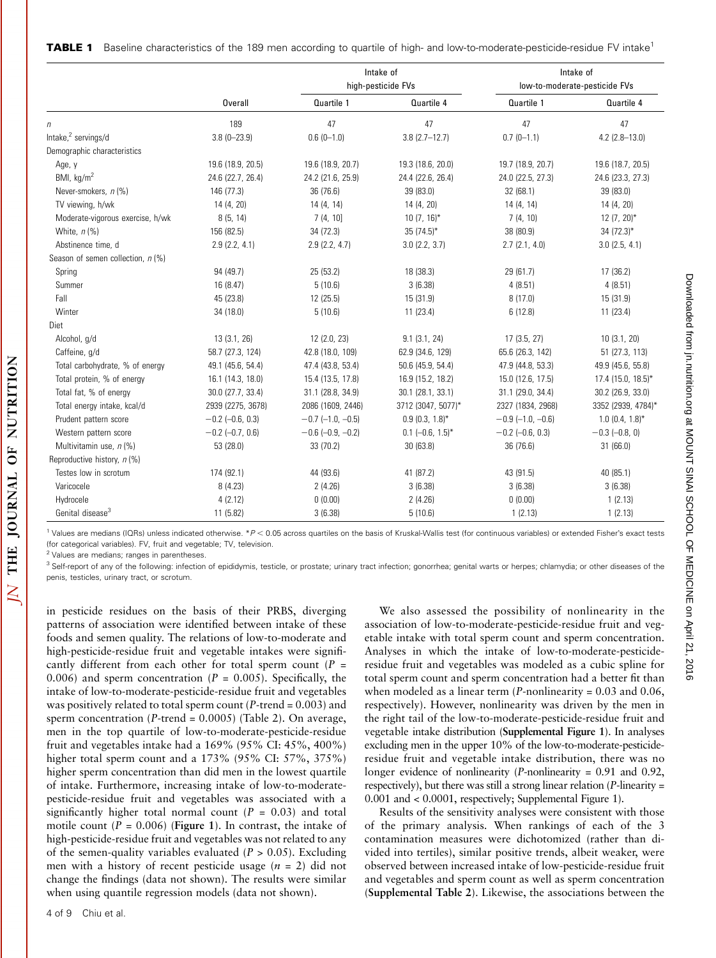|                                     |                      |                       | Intake of<br>high-pesticide FVs | Intake of<br>low-to-moderate-pesticide FVs |                      |  |
|-------------------------------------|----------------------|-----------------------|---------------------------------|--------------------------------------------|----------------------|--|
|                                     | <b>Overall</b>       | Quartile 1            | Quartile 4                      | Quartile 1                                 | Quartile 4           |  |
| п                                   | 189                  | 47                    | 47                              | 47                                         | 47                   |  |
| Intake, $^2$ servings/d             | $3.8(0 - 23.9)$      | $0.6(0-1.0)$          | $3.8(2.7-12.7)$                 | $0.7(0-1.1)$                               | $4.2$ (2.8-13.0)     |  |
| Demographic characteristics         |                      |                       |                                 |                                            |                      |  |
| Age, y                              | 19.6 (18.9, 20.5)    | 19.6 (18.9, 20.7)     | 19.3 (18.6, 20.0)               | 19.7 (18.9, 20.7)                          | 19.6 (18.7, 20.5)    |  |
| BMI, $\text{kg/m}^2$                | 24.6 (22.7, 26.4)    | 24.2 (21.6, 25.9)     | 24.4 (22.6, 26.4)               | 24.0 (22.5, 27.3)                          | 24.6 (23.3, 27.3)    |  |
| Never-smokers, n (%)                | 146 (77.3)           | 36 (76.6)             | 39 (83.0)                       | 32 (68.1)                                  | 39 (83.0)            |  |
| TV viewing, h/wk                    | 14 (4, 20)           | 14 (4, 14)            | 14 (4, 20)                      | 14 (4, 14)                                 | 14 (4, 20)           |  |
| Moderate-vigorous exercise, h/wk    | 8(5, 14)             | 7(4, 10)              | $10(7, 16)^*$                   | 7(4, 10)                                   | $12(7, 20)$ *        |  |
| White, $n$ (%)                      | 156 (82.5)           | 34 (72.3)             | $35(74.5)^*$                    | 38 (80.9)                                  | $34(72.3)^*$         |  |
| Abstinence time, d                  | 2.9(2.2, 4.1)        | 2.9(2.2, 4.7)         | $3.0$ (2.2, $3.7$ )             | 2.7(2.1, 4.0)                              | $3.0$ (2.5, 4.1)     |  |
| Season of semen collection, $n$ (%) |                      |                       |                                 |                                            |                      |  |
| Spring                              | 94 (49.7)            | 25 (53.2)             | 18 (38.3)                       | 29 (61.7)                                  | 17(36.2)             |  |
| Summer                              | 16 (8.47)            | 5(10.6)               | 3(6.38)                         | 4(8.51)                                    | 4(8.51)              |  |
| Fall                                | 45 (23.8)            | 12(25.5)              | 15 (31.9)                       | 8(17.0)                                    | 15(31.9)             |  |
| Winter                              | 34 (18.0)            | 5(10.6)               | 11(23.4)                        | 6(12.8)                                    | 11(23.4)             |  |
| Diet                                |                      |                       |                                 |                                            |                      |  |
| Alcohol, g/d                        | 13 (3.1, 26)         | 12 (2.0, 23)          | 9.1(3.1, 24)                    | 17 (3.5, 27)                               | 10(3.1, 20)          |  |
| Caffeine, g/d                       | 58.7 (27.3, 124)     | 42.8 (18.0, 109)      | 62.9 (34.6, 129)                | 65.6 (26.3, 142)                           | 51 (27.3, 113)       |  |
| Total carbohydrate, % of energy     | 49.1 (45.6, 54.4)    | 47.4 (43.8, 53.4)     | 50.6 (45.9, 54.4)               | 47.9 (44.8, 53.3)                          | 49.9 (45.6, 55.8)    |  |
| Total protein, % of energy          | 16.1 (14.3, 18.0)    | 15.4 (13.5, 17.8)     | 16.9 (15.2, 18.2)               | 15.0 (12.6, 17.5)                          | 17.4 (15.0, 18.5)*   |  |
| Total fat, % of energy              | 30.0 (27.7, 33.4)    | 31.1 (28.8, 34.9)     | 30.1 (28.1, 33.1)               | 31.1 (29.0, 34.4)                          | 30.2 (26.9, 33.0)    |  |
| Total energy intake, kcal/d         | 2939 (2275, 3678)    | 2086 (1609, 2446)     | 3712 (3047, 5077)*              | 2327 (1834, 2968)                          | 3352 (2939, 4784)*   |  |
| Prudent pattern score               | $-0.2$ $(-0.6, 0.3)$ | $-0.7$ $(-1.0, -0.5)$ | $0.9(0.3, 1.8)$ *               | $-0.9$ (-1.0, -0.6)                        | $1.0$ (0.4, $1.8$ )* |  |
| Western pattern score               | $-0.2$ (-0.7, 0.6)   | $-0.6$ $(-0.9, -0.2)$ | $0.1$ $(-0.6, 1.5)^*$           | $-0.2$ $(-0.6, 0.3)$                       | $-0.3$ $(-0.8, 0)$   |  |
| Multivitamin use, n (%)             | 53 (28.0)            | 33 (70.2)             | 30(63.8)                        | 36 (76.6)                                  | 31(66.0)             |  |
| Reproductive history, n (%)         |                      |                       |                                 |                                            |                      |  |
| Testes low in scrotum               | 174 (92.1)           | 44 (93.6)             | 41 (87.2)                       | 43 (91.5)                                  | 40 (85.1)            |  |
| Varicocele                          | 8 (4.23)             | 2(4.26)               | 3(6.38)                         | 3(6.38)                                    | 3(6.38)              |  |
| Hydrocele                           | 4(2.12)              | 0(0.00)               | 2(4.26)                         | 0(0.00)                                    | 1(2.13)              |  |
| Genital disease <sup>3</sup>        | 11 (5.82)            | 3(6.38)               | 5(10.6)                         | 1(2.13)                                    | 1(2.13)              |  |

<sup>1</sup> Values are medians (IQRs) unless indicated otherwise. \* $P < 0.05$  across quartiles on the basis of Kruskal-Wallis test (for continuous variables) or extended Fisher's exact tests (for categorical variables). FV, fruit and vegetable; TV, television.

<sup>2</sup> Values are medians; ranges in parentheses

<sup>3</sup> Self-report of any of the following: infection of epididymis, testicle, or prostate; urinary tract infection; gonorrhea; genital warts or herpes; chlamydia; or other diseases of the penis, testicles, urinary tract, or scrotum.

in pesticide residues on the basis of their PRBS, diverging patterns of association were identified between intake of these foods and semen quality. The relations of low-to-moderate and high-pesticide-residue fruit and vegetable intakes were significantly different from each other for total sperm count ( $P =$ 0.006) and sperm concentration ( $P = 0.005$ ). Specifically, the intake of low-to-moderate-pesticide-residue fruit and vegetables was positively related to total sperm count ( $P$ -trend = 0.003) and sperm concentration ( $P$ -trend = 0.0005) (Table 2). On average, men in the top quartile of low-to-moderate-pesticide-residue fruit and vegetables intake had a 169% (95% CI: 45%, 400%) higher total sperm count and a 173% (95% CI: 57%, 375%) higher sperm concentration than did men in the lowest quartile of intake. Furthermore, increasing intake of low-to-moderatepesticide-residue fruit and vegetables was associated with a significantly higher total normal count ( $P = 0.03$ ) and total motile count ( $P = 0.006$ ) (Figure 1). In contrast, the intake of high-pesticide-residue fruit and vegetables was not related to any of the semen-quality variables evaluated ( $P > 0.05$ ). Excluding men with a history of recent pesticide usage  $(n = 2)$  did not change the findings (data not shown). The results were similar when using quantile regression models (data not shown).

We also assessed the possibility of nonlinearity in the association of low-to-moderate-pesticide-residue fruit and vegetable intake with total sperm count and sperm concentration. Analyses in which the intake of low-to-moderate-pesticideresidue fruit and vegetables was modeled as a cubic spline for total sperm count and sperm concentration had a better fit than when modeled as a linear term  $(P$ -nonlinearity = 0.03 and 0.06, respectively). However, nonlinearity was driven by the men in the right tail of the low-to-moderate-pesticide-residue fruit and vegetable intake distribution (Supplemental Figure 1). In analyses excluding men in the upper 10% of the low-to-moderate-pesticideresidue fruit and vegetable intake distribution, there was no longer evidence of nonlinearity (P-nonlinearity = 0.91 and 0.92, respectively), but there was still a strong linear relation  $(P\text{-linearity} =$ 0.001 and < 0.0001, respectively; Supplemental Figure 1).

Results of the sensitivity analyses were consistent with those of the primary analysis. When rankings of each of the 3 contamination measures were dichotomized (rather than divided into tertiles), similar positive trends, albeit weaker, were observed between increased intake of low-pesticide-residue fruit and vegetables and sperm count as well as sperm concentration (Supplemental Table 2). Likewise, the associations between the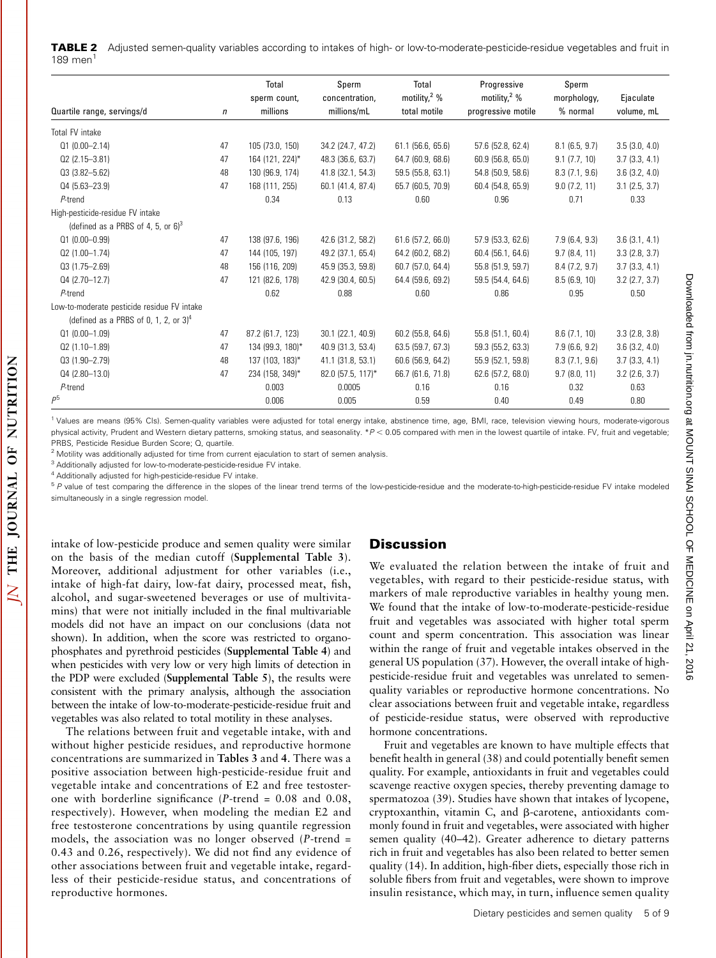TABLE 2 Adjusted semen-quality variables according to intakes of high- or low-to-moderate-pesticide-residue vegetables and fruit in 189 men

|                                             |              | Total            | Sperm                           | Total                    | Progressive           | Sperm            |                    |
|---------------------------------------------|--------------|------------------|---------------------------------|--------------------------|-----------------------|------------------|--------------------|
|                                             |              | sperm count,     | concentration,                  | motility, <sup>2</sup> % | motility, $2\%$       | morphology,      | Ejaculate          |
| Quartile range, servings/d                  | $\mathsf{n}$ | millions         | millions/mL                     | total motile             | progressive motile    | % normal         | volume, mL         |
| Total FV intake                             |              |                  |                                 |                          |                       |                  |                    |
| $Q1(0.00 - 2.14)$                           | 47           | 105 (73.0, 150)  | 34.2 (24.7, 47.2)               | 61.1 (56.6, 65.6)        | 57.6 (52.8, 62.4)     | $8.1$ (6.5, 9.7) | 3.5(3.0, 4.0)      |
| $Q2(2.15 - 3.81)$                           | 47           | 164 (121, 224)*  | 48.3 (36.6, 63.7)               | 64.7 (60.9, 68.6)        | 60.9(56.8, 65.0)      | 9.1(7.7, 10)     | 3.7(3.3, 4.1)      |
| $Q3(3.82 - 5.62)$                           | 48           | 130 (96.9, 174)  | 41.8 (32.1, 54.3)               | 59.5 (55.8, 63.1)        | 54.8 (50.9, 58.6)     | 8.3(7.1, 9.6)    | $3.6$ $(3.2, 4.0)$ |
| $Q4(5.63 - 23.9)$                           | 47           | 168 (111, 255)   | 60.1 (41.4, 87.4)               | 65.7 (60.5, 70.9)        | 60.4 (54.8, 65.9)     | 9.0(7.2, 11)     | $3.1$ (2.5, 3.7)   |
| $P$ -trend                                  |              | 0.34             | 0.13                            | 0.60                     | 0.96                  | 0.71             | 0.33               |
| High-pesticide-residue FV intake            |              |                  |                                 |                          |                       |                  |                    |
| (defined as a PRBS of 4, 5, or $63$         |              |                  |                                 |                          |                       |                  |                    |
| $Q1(0.00 - 0.99)$                           | 47           | 138 (97.6, 196)  | 42.6 (31.2, 58.2)               | $61.6$ (57.2, 66.0)      | 57.9 (53.3, 62.6)     | 7.9(6.4, 9.3)    | 3.6(3.1, 4.1)      |
| 02 (1.00-1.74)                              | 47           | 144 (105, 197)   | 49.2 (37.1, 65.4)               | 64.2 (60.2, 68.2)        | 60.4 (56.1, 64.6)     | 9.7(8.4, 11)     | 3.3(2.8, 3.7)      |
| $Q3(1.75 - 2.69)$                           | 48           | 156 (116, 209)   | 45.9 (35.3, 59.8)               | 60.7 (57.0, 64.4)        | 55.8 (51.9, 59.7)     | 8.4(7.2, 9.7)    | 3.7(3.3, 4.1)      |
| 04 (2.70-12.7)                              | 47           | 121 (82.6, 178)  | 42.9 (30.4, 60.5)               | 64.4 (59.6, 69.2)        | 59.5 (54.4, 64.6)     | 8.5(6.9, 10)     | $3.2$ (2.7, 3.7)   |
| $P$ -trend                                  |              | 0.62             | 0.88                            | 0.60                     | 0.86                  | 0.95             | 0.50               |
| Low-to-moderate pesticide residue FV intake |              |                  |                                 |                          |                       |                  |                    |
| (defined as a PRBS of 0, 1, 2, or $34$      |              |                  |                                 |                          |                       |                  |                    |
| $Q1(0.00-1.09)$                             | 47           | 87.2 (61.7, 123) | 30.1 (22.1, 40.9)               | 60.2 (55.8, 64.6)        | 55.8 (51.1, 60.4)     | 8.6(7.1, 10)     | 3.3(2.8, 3.8)      |
| $Q2(1.10-1.89)$                             | 47           | 134 (99.3, 180)* | 40.9 (31.3, 53.4)               | 63.5 (59.7, 67.3)        | 59.3 (55.2, 63.3)     | 7.9(6.6, 9.2)    | $3.6$ $(3.2, 4.0)$ |
| $Q3(1.90 - 2.79)$                           | 48           | 137 (103, 183)*  | 41.1 (31.8, 53.1)               | 60.6 (56.9, 64.2)        | 55.9 (52.1, 59.8)     | 8.3(7.1, 9.6)    | 3.7(3.3, 4.1)      |
| $Q4(2.80-13.0)$                             | 47           | 234 (158, 349)*  | $82.0$ (57.5, 117) <sup>*</sup> | 66.7 (61.6, 71.8)        | $62.6$ $(57.2, 68.0)$ | 9.7(8.0, 11)     | $3.2$ (2.6, 3.7)   |
| $P$ -trend                                  |              | 0.003            | 0.0005                          | 0.16                     | 0.16                  | 0.32             | 0.63               |
| P <sup>5</sup>                              |              | 0.006            | 0.005                           | 0.59                     | 0.40                  | 0.49             | 0.80               |

<sup>1</sup> Values are means (95% CIs). Semen-quality variables were adjusted for total energy intake, abstinence time, age, BMI, race, television viewing hours, moderate-vigorous physical activity, Prudent and Western dietary patterns, smoking status, and seasonality. \*P < 0.05 compared with men in the lowest quartile of intake. FV, fruit and vegetable; PRBS, Pesticide Residue Burden Score; Q, quartile.

<sup>2</sup> Motility was additionally adjusted for time from current ejaculation to start of semen analysis.

<sup>3</sup> Additionally adjusted for low-to-moderate-pesticide-residue FV intake.

<sup>4</sup> Additionally adjusted for high-pesticide-residue FV intake.

<sup>5</sup> P value of test comparing the difference in the slopes of the linear trend terms of the low-pesticide-residue and the moderate-to-high-pesticide-residue FV intake modeled simultaneously in a single regression model.

intake of low-pesticide produce and semen quality were similar on the basis of the median cutoff (Supplemental Table 3). Moreover, additional adjustment for other variables (i.e., intake of high-fat dairy, low-fat dairy, processed meat, fish, alcohol, and sugar-sweetened beverages or use of multivitamins) that were not initially included in the final multivariable models did not have an impact on our conclusions (data not shown). In addition, when the score was restricted to organophosphates and pyrethroid pesticides (Supplemental Table 4) and when pesticides with very low or very high limits of detection in the PDP were excluded (Supplemental Table 5), the results were consistent with the primary analysis, although the association between the intake of low-to-moderate-pesticide-residue fruit and vegetables was also related to total motility in these analyses.

The relations between fruit and vegetable intake, with and without higher pesticide residues, and reproductive hormone concentrations are summarized in Tables 3 and 4. There was a positive association between high-pesticide-residue fruit and vegetable intake and concentrations of E2 and free testosterone with borderline significance (P-trend = 0.08 and 0.08, respectively). However, when modeling the median E2 and free testosterone concentrations by using quantile regression models, the association was no longer observed  $(P$ -trend = 0.43 and 0.26, respectively). We did not find any evidence of other associations between fruit and vegetable intake, regardless of their pesticide-residue status, and concentrations of reproductive hormones.

### **Discussion**

We evaluated the relation between the intake of fruit and vegetables, with regard to their pesticide-residue status, with markers of male reproductive variables in healthy young men. We found that the intake of low-to-moderate-pesticide-residue fruit and vegetables was associated with higher total sperm count and sperm concentration. This association was linear within the range of fruit and vegetable intakes observed in the general US population (37). However, the overall intake of highpesticide-residue fruit and vegetables was unrelated to semenquality variables or reproductive hormone concentrations. No clear associations between fruit and vegetable intake, regardless of pesticide-residue status, were observed with reproductive hormone concentrations.

Fruit and vegetables are known to have multiple effects that benefit health in general (38) and could potentially benefit semen quality. For example, antioxidants in fruit and vegetables could scavenge reactive oxygen species, thereby preventing damage to spermatozoa (39). Studies have shown that intakes of lycopene, cryptoxanthin, vitamin C, and  $\beta$ -carotene, antioxidants commonly found in fruit and vegetables, were associated with higher semen quality (40–42). Greater adherence to dietary patterns rich in fruit and vegetables has also been related to better semen quality (14). In addition, high-fiber diets, especially those rich in soluble fibers from fruit and vegetables, were shown to improve insulin resistance, which may, in turn, influence semen quality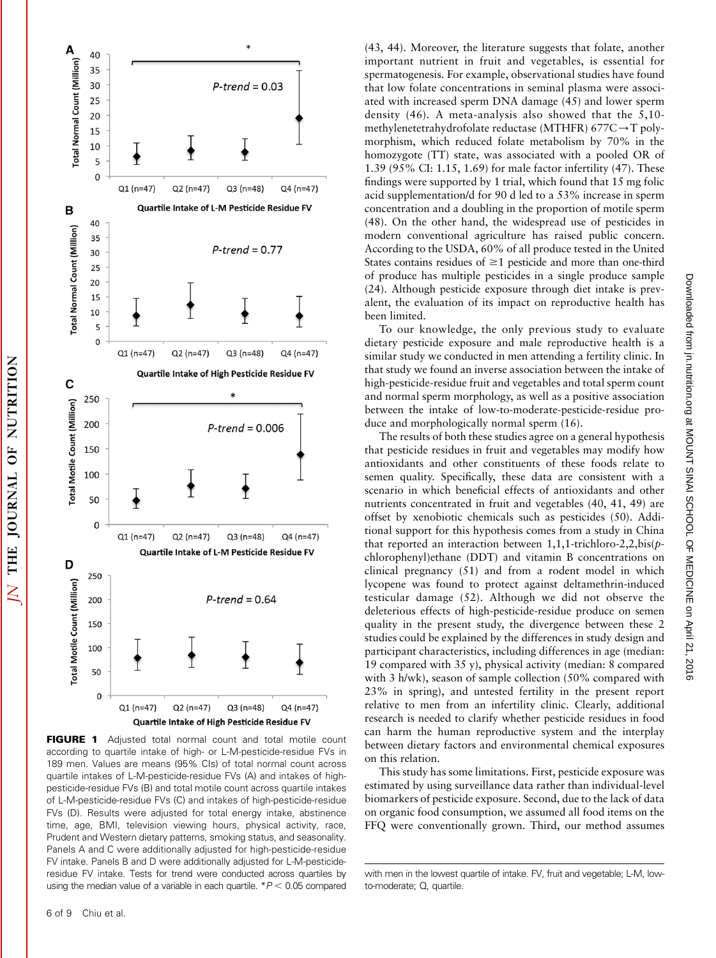

FIGURE 1 Adjusted total normal count and total motile count according to quartile intake of high- or L-M-pesticide-residue FVs in 189 men. Values are means (95% CIs) of total normal count across quartile intakes of L-M-pesticide-residue FVs (A) and intakes of highpesticide-residue FVs (B) and total motile count across quartile intakes of L-M-pesticide-residue FVs (C) and intakes of high-pesticide-residue FVs (D). Results were adjusted for total energy intake, abstinence time, age, BMI, television viewing hours, physical activity, race, Prudent and Western dietary patterns, smoking status, and seasonality. Panels A and C were additionally adjusted for high-pesticide-residue FV intake. Panels B and D were additionally adjusted for L-M-pesticideresidue FV intake. Tests for trend were conducted across quartiles by using the median value of a variable in each quartile.  $*P < 0.05$  compared

(43, 44). Moreover, the literature suggests that folate, another important nutrient in fruit and vegetables, is essential for spermatogenesis. For example, observational studies have found that low folate concentrations in seminal plasma were associated with increased sperm DNA damage (45) and lower sperm density (46). A meta-analysis also showed that the 5,10 methylenetetrahydrofolate reductase (MTHFR) 677C $\rightarrow$ T polymorphism, which reduced folate metabolism by 70% in the homozygote (TT) state, was associated with a pooled OR of 1.39 (95% CI: 1.15, 1.69) for male factor infertility (47). These findings were supported by 1 trial, which found that 15 mg folic acid supplementation/d for 90 d led to a 53% increase in sperm concentration and a doubling in the proportion of motile sperm (48). On the other hand, the widespread use of pesticides in modern conventional agriculture has raised public concern. According to the USDA, 60% of all produce tested in the United States contains residues of  $\geq 1$  pesticide and more than one-third of produce has multiple pesticides in a single produce sample (24). Although pesticide exposure through diet intake is prevalent, the evaluation of its impact on reproductive health has been limited.

To our knowledge, the only previous study to evaluate dietary pesticide exposure and male reproductive health is a similar study we conducted in men attending a fertility clinic. In that study we found an inverse association between the intake of high-pesticide-residue fruit and vegetables and total sperm count and normal sperm morphology, as well as a positive association between the intake of low-to-moderate-pesticide-residue produce and morphologically normal sperm (16).

The results of both these studies agree on a general hypothesis that pesticide residues in fruit and vegetables may modify how antioxidants and other constituents of these foods relate to semen quality. Specifically, these data are consistent with a scenario in which beneficial effects of antioxidants and other nutrients concentrated in fruit and vegetables (40, 41, 49) are offset by xenobiotic chemicals such as pesticides (50). Additional support for this hypothesis comes from a study in China that reported an interaction between 1,1,1-trichloro-2,2,bis(pchlorophenyl)ethane (DDT) and vitamin B concentrations on clinical pregnancy (51) and from a rodent model in which lycopene was found to protect against deltamethrin-induced testicular damage (52). Although we did not observe the deleterious effects of high-pesticide-residue produce on semen quality in the present study, the divergence between these 2 studies could be explained by the differences in study design and participant characteristics, including differences in age (median: 19 compared with 35 y), physical activity (median: 8 compared with 3 h/wk), season of sample collection (50% compared with 23% in spring), and untested fertility in the present report relative to men from an infertility clinic. Clearly, additional research is needed to clarify whether pesticide residues in food can harm the human reproductive system and the interplay between dietary factors and environmental chemical exposures on this relation.

This study has some limitations. First, pesticide exposure was estimated by using surveillance data rather than individual-level biomarkers of pesticide exposure. Second, due to the lack of data on organic food consumption, we assumed all food items on the FFQ were conventionally grown. Third, our method assumes

with men in the lowest quartile of intake. FV, fruit and vegetable; L-M, lowto-moderate; Q, quartile.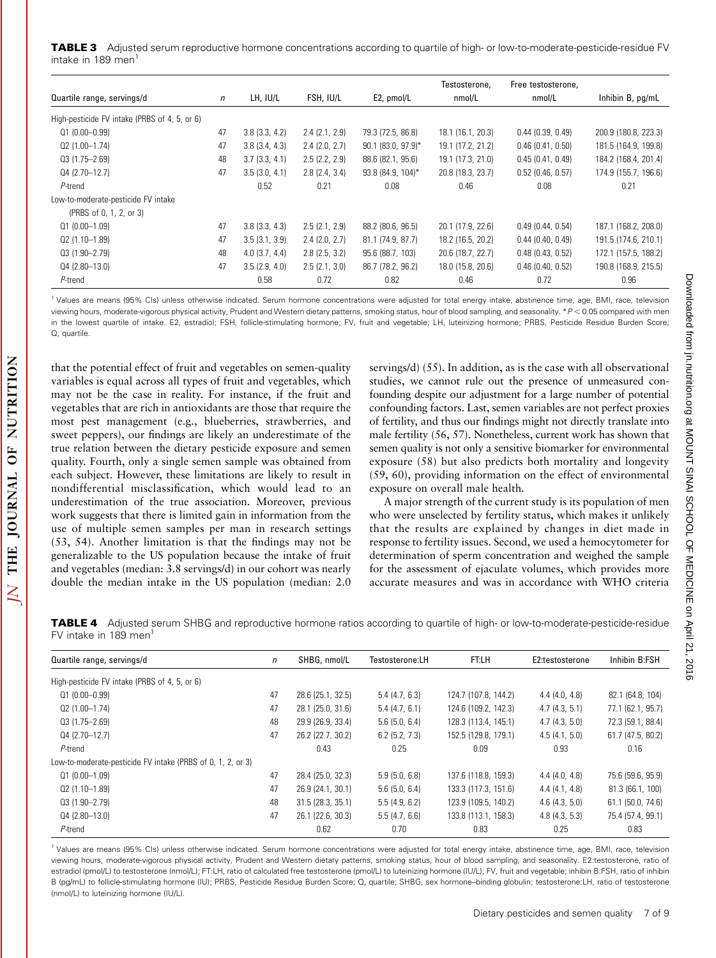TABLE 3 Adjusted serum reproductive hormone concentrations according to quartile of high- or low-to-moderate-pesticide-residue FV intake in 189 men<sup>1</sup>

|                                               |              |               |               |                      | Testosterone,     | Free testosterone,  |                      |
|-----------------------------------------------|--------------|---------------|---------------|----------------------|-------------------|---------------------|----------------------|
| Quartile range, servings/d                    | $\mathsf{n}$ | LH, IU/L      | FSH, IU/L     | E2, pmol/L           | nmol/L            | nmol/L              | Inhibin B, pg/mL     |
| High-pesticide FV intake (PRBS of 4, 5, or 6) |              |               |               |                      |                   |                     |                      |
| $Q1(0.00 - 0.99)$                             | 47           | 3.8(3.3, 4.2) | 2.4(2.1, 2.9) | 79.3 (72.5, 86.8)    | 18.1 (16.1, 20.3) | 0.44(0.39, 0.49)    | 200.9 (180.8, 223.3) |
| $Q2(1.00-1.74)$                               | 47           | 3.8(3.4, 4.3) | 2.4(2.0, 2.7) | $90.1$ (83.0, 97.9)* | 19.1 (17.2, 21.2) | 0.46(0.41, 0.50)    | 181.5 (164.9, 199.8) |
| $Q3(1.75 - 2.69)$                             | 48           | 3.7(3.3, 4.1) | 2.5(2.2, 2.9) | 88.6 (82.1, 95.6)    | 19.1 (17.3, 21.0) | 0.45(0.41, 0.49)    | 184.2 (168.4, 201.4) |
| $Q4(2.70-12.7)$                               | 47           | 3.5(3.0, 4.1) | 2.8(2.4, 3.4) | 93.8 (84.9, 104)*    | 20.8 (18.3, 23.7) | $0.52$ (0.46, 0.57) | 174.9 (155.7, 196.6) |
| P-trend                                       |              | 0.52          | 0.21          | 0.08                 | 0.46              | 0.08                | 0.21                 |
| Low-to-moderate-pesticide FV intake           |              |               |               |                      |                   |                     |                      |
| (PRBS of 0, 1, 2, or 3)                       |              |               |               |                      |                   |                     |                      |
| $Q1(0.00-1.09)$                               | 47           | 3.8(3.3, 4.3) | 2.5(2.1, 2.9) | 88.2 (80.6, 96.5)    | 20.1 (17.9, 22.6) | 0.49(0.44, 0.54)    | 187.1 (168.2, 208.0) |
| $Q2(1.10-1.89)$                               | 47           | 3.5(3.1, 3.9) | 2.4(2.0, 2.7) | 81.1 (74.9, 87.7)    | 18.2 (16.5, 20.2) | 0.44(0.40, 0.49)    | 191.5 (174.6, 210.1) |
| $Q3(1.90 - 2.79)$                             | 48           | 4.0(3.7, 4.4) | 2.8(2.5, 3.2) | 95.6 (88.7, 103)     | 20.6 (18.7, 22.7) | $0.48$ (0.43, 0.52) | 172.1 (157.5, 188.2) |
| $Q4(2.80-13.0)$                               | 47           | 3.5(2.9, 4.0) | 2.5(2.1, 3.0) | 86.7 (78.2, 96.2)    | 18.0 (15.8, 20.6) | $0.46$ (0.40, 0.52) | 190.8 (168.9, 215.5) |
| P-trend                                       |              | 0.58          | 0.72          | 0.82                 | 0.46              | 0.72                | 0.96                 |

<sup>1</sup> Values are means (95% CIs) unless otherwise indicated. Serum hormone concentrations were adjusted for total energy intake, abstinence time, age, BMI, race, television viewing hours, moderate-vigorous physical activity, Prudent and Western dietary patterns, smoking status, hour of blood sampling, and seasonality. \*P<0.05 compared with men in the lowest quartile of intake. E2, estradiol; FSH, follicle-stimulating hormone; FV, fruit and vegetable; LH, luteinizing hormone; PRBS, Pesticide Residue Burden Score; Q, quartile.

that the potential effect of fruit and vegetables on semen-quality variables is equal across all types of fruit and vegetables, which may not be the case in reality. For instance, if the fruit and vegetables that are rich in antioxidants are those that require the most pest management (e.g., blueberries, strawberries, and sweet peppers), our findings are likely an underestimate of the true relation between the dietary pesticide exposure and semen quality. Fourth, only a single semen sample was obtained from each subject. However, these limitations are likely to result in nondifferential misclassification, which would lead to an underestimation of the true association. Moreover, previous work suggests that there is limited gain in information from the use of multiple semen samples per man in research settings (53, 54). Another limitation is that the findings may not be generalizable to the US population because the intake of fruit and vegetables (median: 3.8 servings/d) in our cohort was nearly double the median intake in the US population (median: 2.0

servings/d) (55). In addition, as is the case with all observational studies, we cannot rule out the presence of unmeasured confounding despite our adjustment for a large number of potential confounding factors. Last, semen variables are not perfect proxies of fertility, and thus our findings might not directly translate into male fertility (56, 57). Nonetheless, current work has shown that semen quality is not only a sensitive biomarker for environmental exposure (58) but also predicts both mortality and longevity (59, 60), providing information on the effect of environmental exposure on overall male health.

A major strength of the current study is its population of men who were unselected by fertility status, which makes it unlikely that the results are explained by changes in diet made in response to fertility issues. Second, we used a hemocytometer for determination of sperm concentration and weighed the sample for the assessment of ejaculate volumes, which provides more accurate measures and was in accordance with WHO criteria

TABLE 4 Adjusted serum SHBG and reproductive hormone ratios according to quartile of high- or low-to-moderate-pesticide-residue FV intake in 189 men $<sup>1</sup>$ </sup>

| Quartile range, servings/d                                  | $\mathsf{n}$ | SHBG, nmol/L      | Testosterone:LH  | FT:LH                | E2:testosterone | Inhibin B:FSH     |
|-------------------------------------------------------------|--------------|-------------------|------------------|----------------------|-----------------|-------------------|
| High-pesticide FV intake (PRBS of 4, 5, or 6)               |              |                   |                  |                      |                 |                   |
| $Q1(0.00 - 0.99)$                                           | 47           | 28.6 (25.1, 32.5) | 5.4(4.7, 6.3)    | 124.7 (107.8, 144.2) | 4.4(4.0, 4.8)   | 82.1 (64.8, 104)  |
| 02 (1.00-1.74)                                              | 47           | 28.1 (25.0, 31.6) | 5.4(4.7, 6.1)    | 124.6 (109.2, 142.3) | 4.7(4.3, 5.1)   | 77.1 (62.1, 95.7) |
| $Q3(1.75 - 2.69)$                                           | 48           | 29.9 (26.9, 33.4) | $5.6$ (5.0, 6.4) | 128.3 (113.4, 145.1) | 4.7(4.3, 5.0)   | 72.3 (59.1, 88.4) |
| $Q4(2.70-12.7)$                                             | 47           | 26.2 (22.7, 30.2) | $6.2$ (5.2, 7.3) | 152.5 (129.8, 179.1) | 4.5(4.1, 5.0)   | 61.7 (47.5, 80.2) |
| P-trend                                                     |              | 0.43              | 0.25             | 0.09                 | 0.93            | 0.16              |
| Low-to-moderate-pesticide FV intake (PRBS of 0, 1, 2, or 3) |              |                   |                  |                      |                 |                   |
| $Q1(0.00-1.09)$                                             | 47           | 28.4 (25.0, 32.3) | 5.9(5.0, 6.8)    | 137.6 (118.8, 159.3) | 4.4(4.0, 4.8)   | 75.6 (59.6, 95.9) |
| $Q2(1.10-1.89)$                                             | 47           | 26.9 (24.1, 30.1) | $5.6$ (5.0, 6.4) | 133.3 (117.3, 151.6) | 4.4(4.1, 4.8)   | 81.3 (66.1, 100)  |
| 03 (1.90-2.79)                                              | 48           | 31.5 (28.3, 35.1) | 5.5(4.9, 6.2)    | 123.9 (109.5, 140.2) | 4.6(4.3.5.0)    | 61.1 (50.0, 74.6) |
| $Q4(2.80-13.0)$                                             | 47           | 26.1 (22.6, 30.3) | 5.5(4.7, 6.6)    | 133.8 (113.1, 158.3) | 4.8(4.3, 5.3)   | 75.4 (57.4, 99.1) |
| P-trend                                                     |              | 0.62              | 0.70             | 0.83                 | 0.25            | 0.83              |
|                                                             |              |                   |                  |                      |                 |                   |

<sup>1</sup> Values are means (95% CIs) unless otherwise indicated. Serum hormone concentrations were adjusted for total energy intake, abstinence time, age, BMI, race, television viewing hours, moderate-vigorous physical activity, Prudent and Western dietary patterns, smoking status, hour of blood sampling, and seasonality. E2:testosterone, ratio of estradiol (pmol/L) to testosterone (nmol/L); FT:LH, ratio of calculated free testosterone (pmol/L) to luteinizing hormone (IU/L); FV, fruit and vegetable; inhibin B:FSH, ratio of inhibin B (pg/mL) to follicle-stimulating hormone (IU); PRBS, Pesticide Residue Burden Score; Q, quartile; SHBG, sex hormone–binding globulin; testosterone:LH, ratio of testosterone (nmol/L) to luteinizing hormone (IU/L).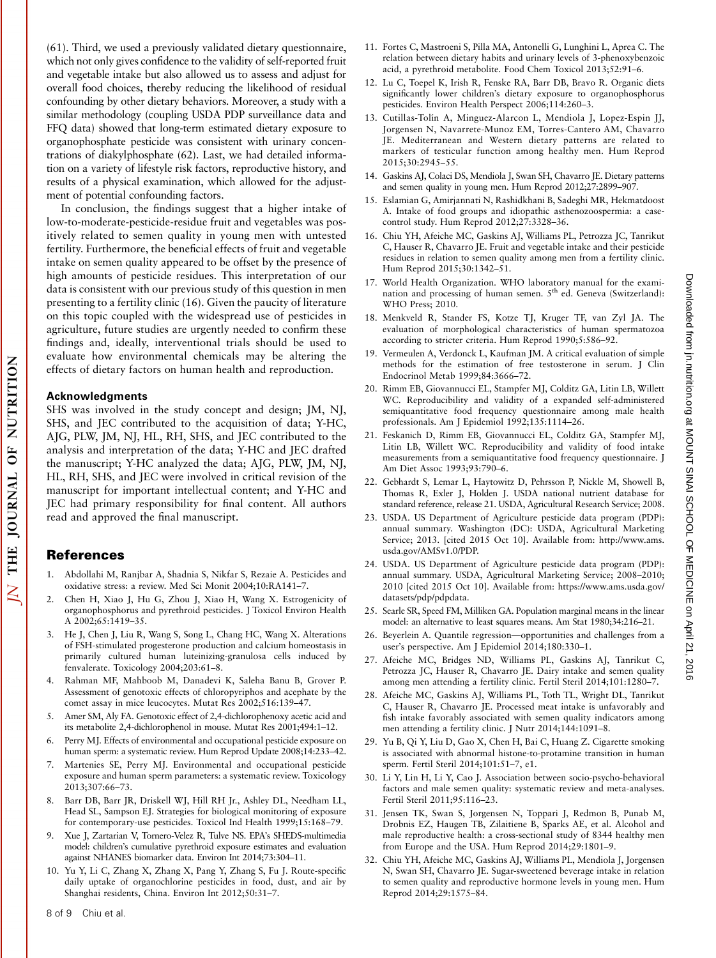(61). Third, we used a previously validated dietary questionnaire, which not only gives confidence to the validity of self-reported fruit and vegetable intake but also allowed us to assess and adjust for overall food choices, thereby reducing the likelihood of residual confounding by other dietary behaviors. Moreover, a study with a similar methodology (coupling USDA PDP surveillance data and FFQ data) showed that long-term estimated dietary exposure to organophosphate pesticide was consistent with urinary concentrations of diakylphosphate (62). Last, we had detailed information on a variety of lifestyle risk factors, reproductive history, and results of a physical examination, which allowed for the adjustment of potential confounding factors.

In conclusion, the findings suggest that a higher intake of low-to-moderate-pesticide-residue fruit and vegetables was positively related to semen quality in young men with untested fertility. Furthermore, the beneficial effects of fruit and vegetable intake on semen quality appeared to be offset by the presence of high amounts of pesticide residues. This interpretation of our data is consistent with our previous study of this question in men presenting to a fertility clinic (16). Given the paucity of literature on this topic coupled with the widespread use of pesticides in agriculture, future studies are urgently needed to confirm these findings and, ideally, interventional trials should be used to evaluate how environmental chemicals may be altering the effects of dietary factors on human health and reproduction.

#### Acknowledgments

NUTRITION

 $\overline{0}$ 

**JOURNAL** 

**THE** 

 $\overline{\Delta}$ 

SHS was involved in the study concept and design; JM, NJ, SHS, and JEC contributed to the acquisition of data; Y-HC, AJG, PLW, JM, NJ, HL, RH, SHS, and JEC contributed to the analysis and interpretation of the data; Y-HC and JEC drafted the manuscript; Y-HC analyzed the data; AJG, PLW, JM, NJ, HL, RH, SHS, and JEC were involved in critical revision of the manuscript for important intellectual content; and Y-HC and JEC had primary responsibility for final content. All authors read and approved the final manuscript.

#### References

- 1. Abdollahi M, Ranjbar A, Shadnia S, Nikfar S, Rezaie A. Pesticides and oxidative stress: a review. Med Sci Monit 2004;10:RA141–7.
- 2. Chen H, Xiao J, Hu G, Zhou J, Xiao H, Wang X. Estrogenicity of organophosphorus and pyrethroid pesticides. J Toxicol Environ Health A 2002;65:1419–35.
- 3. He J, Chen J, Liu R, Wang S, Song L, Chang HC, Wang X. Alterations of FSH-stimulated progesterone production and calcium homeostasis in primarily cultured human luteinizing-granulosa cells induced by fenvalerate. Toxicology 2004;203:61–8.
- 4. Rahman MF, Mahboob M, Danadevi K, Saleha Banu B, Grover P. Assessment of genotoxic effects of chloropyriphos and acephate by the comet assay in mice leucocytes. Mutat Res 2002;516:139–47.
- 5. Amer SM, Aly FA. Genotoxic effect of 2,4-dichlorophenoxy acetic acid and its metabolite 2,4-dichlorophenol in mouse. Mutat Res 2001;494:1–12.
- 6. Perry MJ. Effects of environmental and occupational pesticide exposure on human sperm: a systematic review. Hum Reprod Update 2008;14:233–42.
- 7. Martenies SE, Perry MJ. Environmental and occupational pesticide exposure and human sperm parameters: a systematic review. Toxicology 2013;307:66–73.
- 8. Barr DB, Barr JR, Driskell WJ, Hill RH Jr., Ashley DL, Needham LL, Head SL, Sampson EJ. Strategies for biological monitoring of exposure for contemporary-use pesticides. Toxicol Ind Health 1999;15:168–79.
- Xue J, Zartarian V, Tornero-Velez R, Tulve NS. EPA's SHEDS-multimedia model: children's cumulative pyrethroid exposure estimates and evaluation against NHANES biomarker data. Environ Int 2014;73:304–11.
- 10. Yu Y, Li C, Zhang X, Zhang X, Pang Y, Zhang S, Fu J. Route-specific daily uptake of organochlorine pesticides in food, dust, and air by Shanghai residents, China. Environ Int 2012;50:31–7.
- 11. Fortes C, Mastroeni S, Pilla MA, Antonelli G, Lunghini L, Aprea C. The relation between dietary habits and urinary levels of 3-phenoxybenzoic acid, a pyrethroid metabolite. Food Chem Toxicol 2013;52:91–6.
- 12. Lu C, Toepel K, Irish R, Fenske RA, Barr DB, Bravo R. Organic diets significantly lower children's dietary exposure to organophosphorus pesticides. Environ Health Perspect 2006;114:260–3.
- 13. Cutillas-Tolín A, Minguez-Alarcon L, Mendiola J, Lopez-Espin JJ, Jorgensen N, Navarrete-Munoz EM, Torres-Cantero AM, Chavarro JE. Mediterranean and Western dietary patterns are related to markers of testicular function among healthy men. Hum Reprod 2015;30:2945–55.
- 14. Gaskins AJ, Colaci DS, Mendiola J, Swan SH, Chavarro JE. Dietary patterns and semen quality in young men. Hum Reprod 2012;27:2899–907.
- 15. Eslamian G, Amirjannati N, Rashidkhani B, Sadeghi MR, Hekmatdoost A. Intake of food groups and idiopathic asthenozoospermia: a casecontrol study. Hum Reprod 2012;27:3328–36.
- 16. Chiu YH, Afeiche MC, Gaskins AJ, Williams PL, Petrozza JC, Tanrikut C, Hauser R, Chavarro JE. Fruit and vegetable intake and their pesticide residues in relation to semen quality among men from a fertility clinic. Hum Reprod 2015;30:1342–51.
- 17. World Health Organization. WHO laboratory manual for the examination and processing of human semen. 5<sup>th</sup> ed. Geneva (Switzerland): WHO Press; 2010.
- 18. Menkveld R, Stander FS, Kotze TJ, Kruger TF, van Zyl JA. The evaluation of morphological characteristics of human spermatozoa according to stricter criteria. Hum Reprod 1990;5:586–92.
- 19. Vermeulen A, Verdonck L, Kaufman JM. A critical evaluation of simple methods for the estimation of free testosterone in serum. J Clin Endocrinol Metab 1999;84:3666–72.
- 20. Rimm EB, Giovannucci EL, Stampfer MJ, Colditz GA, Litin LB, Willett WC. Reproducibility and validity of a expanded self-administered semiquantitative food frequency questionnaire among male health professionals. Am J Epidemiol 1992;135:1114–26.
- 21. Feskanich D, Rimm EB, Giovannucci EL, Colditz GA, Stampfer MJ, Litin LB, Willett WC. Reproducibility and validity of food intake measurements from a semiquantitative food frequency questionnaire. J Am Diet Assoc 1993;93:790–6.
- 22. Gebhardt S, Lemar L, Haytowitz D, Pehrsson P, Nickle M, Showell B, Thomas R, Exler J, Holden J. USDA national nutrient database for standard reference, release 21. USDA, Agricultural Research Service; 2008.
- 23. USDA. US Department of Agriculture pesticide data program (PDP): annual summary. Washington (DC): USDA, Agricultural Marketing Service; 2013. [cited 2015 Oct 10]. Available from: http://www.ams. usda.gov/AMSv1.0/PDP.
- 24. USDA. US Department of Agriculture pesticide data program (PDP): annual summary. USDA, Agricultural Marketing Service; 2008–2010; 2010 [cited 2015 Oct 10]. Available from: https://www.ams.usda.gov/ datasets/pdp/pdpdata.
- 25. Searle SR, Speed FM, Milliken GA. Population marginal means in the linear model: an alternative to least squares means. Am Stat 1980;34:216–21.
- 26. Beyerlein A. Quantile regression—opportunities and challenges from a user's perspective. Am J Epidemiol 2014;180:330-1.
- 27. Afeiche MC, Bridges ND, Williams PL, Gaskins AJ, Tanrikut C, Petrozza JC, Hauser R, Chavarro JE. Dairy intake and semen quality among men attending a fertility clinic. Fertil Steril 2014;101:1280–7.
- 28. Afeiche MC, Gaskins AJ, Williams PL, Toth TL, Wright DL, Tanrikut C, Hauser R, Chavarro JE. Processed meat intake is unfavorably and fish intake favorably associated with semen quality indicators among men attending a fertility clinic. J Nutr 2014;144:1091–8.
- 29. Yu B, Qi Y, Liu D, Gao X, Chen H, Bai C, Huang Z. Cigarette smoking is associated with abnormal histone-to-protamine transition in human sperm. Fertil Steril 2014;101:51–7, e1.
- 30. Li Y, Lin H, Li Y, Cao J. Association between socio-psycho-behavioral factors and male semen quality: systematic review and meta-analyses. Fertil Steril 2011;95:116–23.
- 31. Jensen TK, Swan S, Jorgensen N, Toppari J, Redmon B, Punab M, Drobnis EZ, Haugen TB, Zilaitiene B, Sparks AE, et al. Alcohol and male reproductive health: a cross-sectional study of 8344 healthy men from Europe and the USA. Hum Reprod 2014;29:1801–9.
- 32. Chiu YH, Afeiche MC, Gaskins AJ, Williams PL, Mendiola J, Jorgensen N, Swan SH, Chavarro JE. Sugar-sweetened beverage intake in relation to semen quality and reproductive hormone levels in young men. Hum Reprod 2014;29:1575–84.